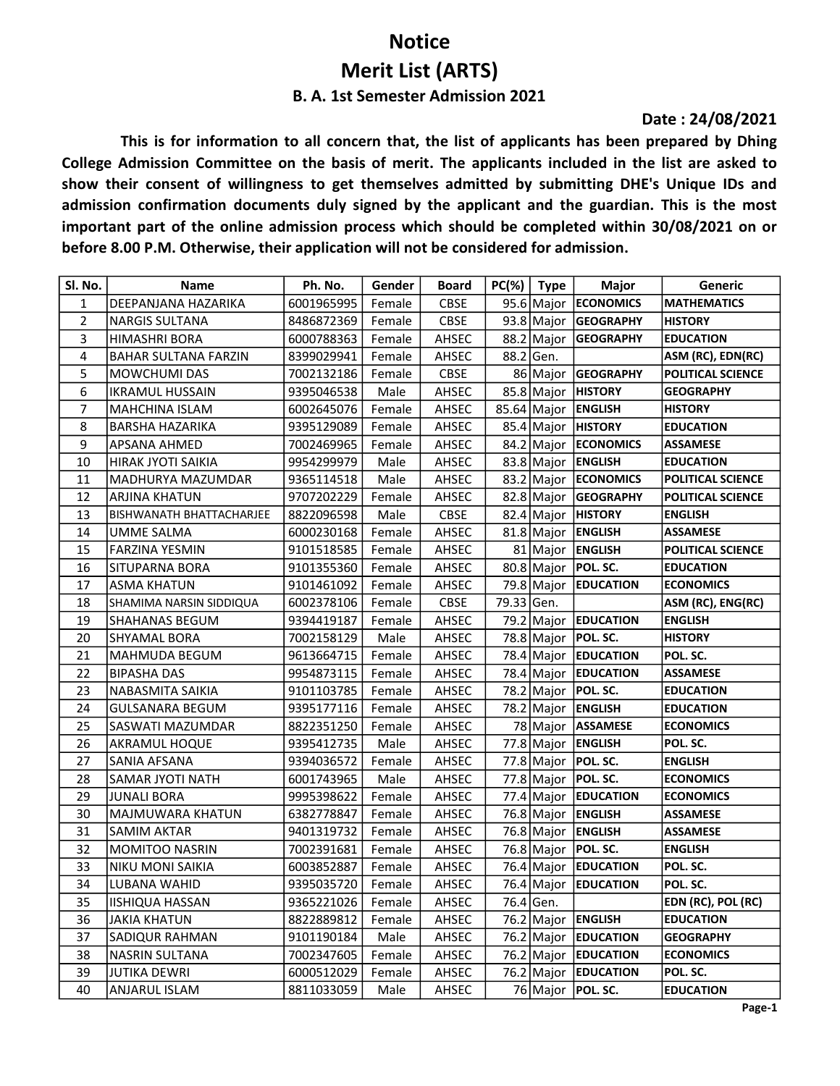## Notice Merit List (ARTS) B. A. 1st Semester Admission 2021

## Date : 24/08/2021

This is for information to all concern that, the list of applicants has been prepared by Dhing College Admission Committee on the basis of merit. The applicants included in the list are asked to show their consent of willingness to get themselves admitted by submitting DHE's Unique IDs and admission confirmation documents duly signed by the applicant and the guardian. This is the most important part of the online admission process which should be completed within 30/08/2021 on or before 8.00 P.M. Otherwise, their application will not be considered for admission.

| Sl. No.        | Name                            | Ph. No.             | Gender | <b>Board</b> |            | $PC(% )$ Type | Major                    | Generic                  |
|----------------|---------------------------------|---------------------|--------|--------------|------------|---------------|--------------------------|--------------------------|
| $\mathbf{1}$   | DEEPANJANA HAZARIKA             | 6001965995          | Female | <b>CBSE</b>  |            |               | 95.6 Major ECONOMICS     | <b>MATHEMATICS</b>       |
| $\overline{2}$ | <b>NARGIS SULTANA</b>           | 8486872369          | Female | <b>CBSE</b>  |            |               | 93.8 Major GEOGRAPHY     | <b>HISTORY</b>           |
| 3              | <b>HIMASHRI BORA</b>            | 6000788363          | Female | AHSEC        |            |               | 88.2 Major GEOGRAPHY     | <b>EDUCATION</b>         |
| 4              | BAHAR SULTANA FARZIN            | 8399029941          | Female | AHSEC        |            | 88.2 Gen.     |                          | ASM (RC), EDN(RC)        |
| 5              | <b>MOWCHUMI DAS</b>             | 7002132186          | Female | CBSE         |            |               | 86 Major GEOGRAPHY       | <b>POLITICAL SCIENCE</b> |
| 6              | <b>IKRAMUL HUSSAIN</b>          | 9395046538          | Male   | AHSEC        |            |               | 85.8 Major   HISTORY     | <b>GEOGRAPHY</b>         |
| $\overline{7}$ | <b>MAHCHINA ISLAM</b>           | 6002645076          | Female | AHSEC        |            |               | 85.64 Major   ENGLISH    | <b>HISTORY</b>           |
| 8              | <b>BARSHA HAZARIKA</b>          | 9395129089          | Female | AHSEC        |            |               | 85.4 Major HISTORY       | <b>EDUCATION</b>         |
| 9              | <b>APSANA AHMED</b>             | 7002469965          | Female | AHSEC        |            |               | 84.2 Major ECONOMICS     | <b>ASSAMESE</b>          |
| 10             | <b>HIRAK JYOTI SAIKIA</b>       | 9954299979          | Male   | AHSEC        |            |               | 83.8 Major ENGLISH       | <b>EDUCATION</b>         |
| 11             | MADHURYA MAZUMDAR               | 9365114518          | Male   | AHSEC        |            |               | 83.2 Major ECONOMICS     | <b>POLITICAL SCIENCE</b> |
| 12             | <b>ARJINA KHATUN</b>            | 9707202229          | Female | AHSEC        |            |               | 82.8 Major GEOGRAPHY     | POLITICAL SCIENCE        |
| 13             | <b>BISHWANATH BHATTACHARJEE</b> | 8822096598          | Male   | CBSE         |            |               | 82.4 Major HISTORY       | <b>ENGLISH</b>           |
| 14             | UMME SALMA                      | 6000230168          | Female | AHSEC        |            |               | 81.8 Major ENGLISH       | <b>ASSAMESE</b>          |
| 15             | <b>FARZINA YESMIN</b>           | 9101518585          | Female | AHSEC        |            |               | 81 Major ENGLISH         | <b>POLITICAL SCIENCE</b> |
| 16             | SITUPARNA BORA                  | 9101355360          | Female | AHSEC        |            |               | 80.8 Major   POL. SC.    | <b>EDUCATION</b>         |
| 17             | <b>ASMA KHATUN</b>              | 9101461092          | Female | AHSEC        |            |               | 79.8 Major EDUCATION     | <b>ECONOMICS</b>         |
| 18             | SHAMIMA NARSIN SIDDIQUA         | 6002378106          | Female | <b>CBSE</b>  | 79.33 Gen. |               |                          | ASM (RC), ENG(RC)        |
| 19             | SHAHANAS BEGUM                  | 9394419187          | Female | AHSEC        |            | 79.2 Major    | <b>EDUCATION</b>         | <b>ENGLISH</b>           |
| 20             | <b>SHYAMAL BORA</b>             | 7002158129          | Male   | AHSEC        |            |               | 78.8 Major   POL. SC.    | <b>HISTORY</b>           |
| 21             | MAHMUDA BEGUM                   | 9613664715          | Female | AHSEC        |            |               | 78.4 Major EDUCATION     | POL. SC.                 |
| 22             | <b>BIPASHA DAS</b>              | 9954873115          | Female | AHSEC        |            |               | 78.4   Major   EDUCATION | <b>ASSAMESE</b>          |
| 23             | NABASMITA SAIKIA                | 9101103785          | Female | AHSEC        |            |               | 78.2 Major   POL. SC.    | <b>EDUCATION</b>         |
| 24             | <b>GULSANARA BEGUM</b>          | 9395177116          | Female | AHSEC        |            |               | 78.2 Major ENGLISH       | <b>EDUCATION</b>         |
| 25             | SASWATI MAZUMDAR                | 8822351250          | Female | AHSEC        |            |               | 78 Major ASSAMESE        | <b>ECONOMICS</b>         |
| 26             | <b>AKRAMUL HOQUE</b>            | 9395412735          | Male   | AHSEC        |            |               | 77.8 Major ENGLISH       | POL. SC.                 |
| 27             | SANIA AFSANA                    | 9394036572          | Female | AHSEC        |            |               | 77.8 Major $ POL.$ SC.   | <b>ENGLISH</b>           |
| 28             | SAMAR JYOTI NATH                | 6001743965          | Male   | AHSEC        |            |               | 77.8 Major   POL. SC.    | <b>ECONOMICS</b>         |
| 29             | JUNALI BORA                     | 9995398622          | Female | AHSEC        |            |               | 77.4 Major EDUCATION     | <b>ECONOMICS</b>         |
| 30             | MAJMUWARA KHATUN                | 6382778847          | Female | AHSEC        |            |               | 76.8 Major ENGLISH       | <b>ASSAMESE</b>          |
| 31             | <b>SAMIM AKTAR</b>              | 9401319732          | Female | AHSEC        |            |               | 76.8 Major ENGLISH       | <b>ASSAMESE</b>          |
| 32             | <b>MOMITOO NASRIN</b>           | 7002391681          | Female | AHSEC        |            |               | 76.8 Major   POL. SC.    | <b>ENGLISH</b>           |
| 33             | <b>NIKU MONI SAIKIA</b>         | 6003852887          | Female | AHSEC        |            |               | 76.4 Major EDUCATION     | POL. SC.                 |
| 34             | LUBANA WAHID                    | 9395035720   Female |        | AHSEC        |            |               | 76.4 Major EDUCATION     | POL. SC.                 |
| 35             | <b>IISHIQUA HASSAN</b>          | 9365221026          | Female | AHSEC        |            | 76.4 Gen.     |                          | EDN (RC), POL (RC)       |
| 36             | JAKIA KHATUN                    | 8822889812          | Female | AHSEC        |            |               | 76.2 Major ENGLISH       | <b>EDUCATION</b>         |
| 37             | <b>SADIQUR RAHMAN</b>           | 9101190184          | Male   | AHSEC        |            |               | 76.2 Major EDUCATION     | <b>GEOGRAPHY</b>         |
| 38             | <b>NASRIN SULTANA</b>           | 7002347605          | Female | AHSEC        |            |               | 76.2 Major EDUCATION     | <b>ECONOMICS</b>         |
| 39             | <b>JUTIKA DEWRI</b>             | 6000512029          | Female | AHSEC        |            |               | 76.2 Major EDUCATION     | POL. SC.                 |
| 40             | <b>ANJARUL ISLAM</b>            | 8811033059          | Male   | AHSEC        |            |               | 76 Major   POL. SC.      | <b>EDUCATION</b>         |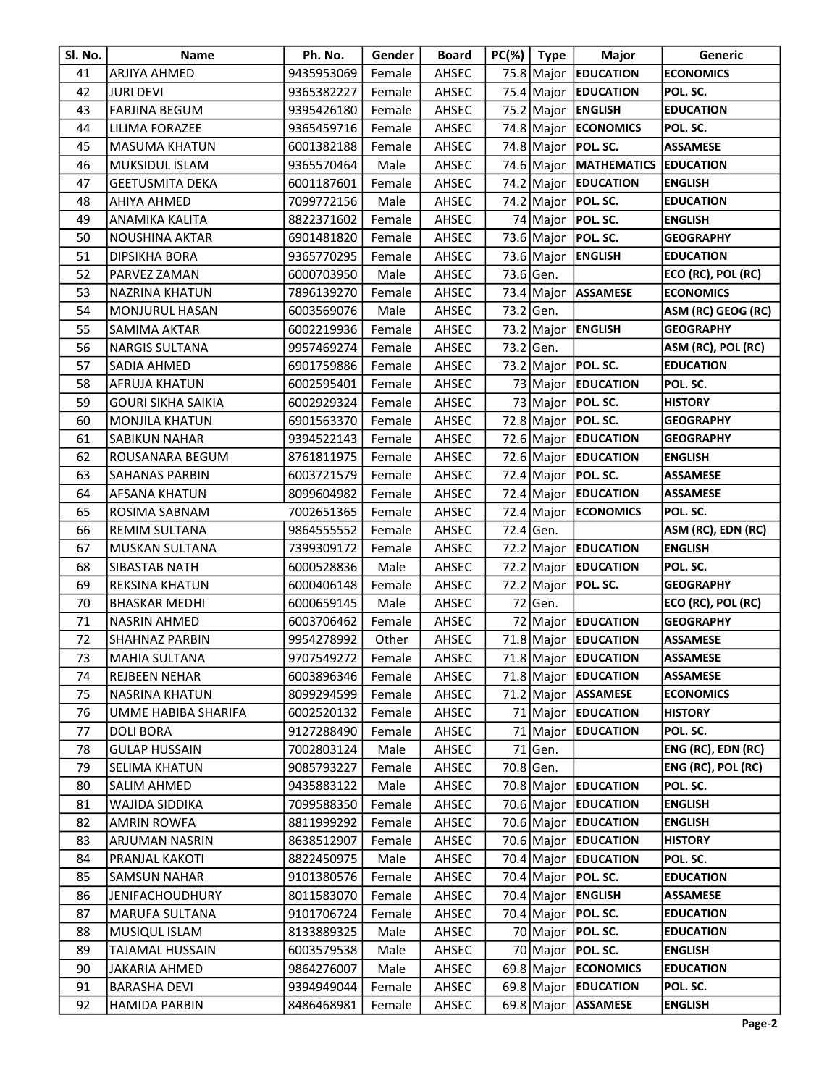| Sl. No. | Name                      | Ph. No.             | Gender | <b>Board</b> | $PC(% )$ Type | Major                                | Generic                   |
|---------|---------------------------|---------------------|--------|--------------|---------------|--------------------------------------|---------------------------|
| 41      | <b>ARJIYA AHMED</b>       | 9435953069          | Female | AHSEC        |               | 75.8 Major EDUCATION                 | <b>ECONOMICS</b>          |
| 42      | JURI DEVI                 | 9365382227          | Female | AHSEC        |               | 75.4 Major EDUCATION                 | POL. SC.                  |
| 43      | <b>FARJINA BEGUM</b>      | 9395426180          | Female | AHSEC        |               | 75.2 Major ENGLISH                   | <b>EDUCATION</b>          |
| 44      | LILIMA FORAZEE            | 9365459716          | Female | AHSEC        |               | 74.8 Major ECONOMICS                 | POL. SC.                  |
| 45      | <b>MASUMA KHATUN</b>      | 6001382188          | Female | AHSEC        |               | 74.8 Major   POL. SC.                | <b>ASSAMESE</b>           |
| 46      | <b>MUKSIDUL ISLAM</b>     | 9365570464          | Male   | AHSEC        |               | 74.6 Major   MATHEMATICS   EDUCATION |                           |
| 47      | <b>GEETUSMITA DEKA</b>    | 6001187601          | Female | AHSEC        |               | 74.2 Major EDUCATION                 | <b>ENGLISH</b>            |
| 48      | AHIYA AHMED               | 7099772156          | Male   | AHSEC        |               | 74.2 Major   POL. SC.                | <b>EDUCATION</b>          |
| 49      | ANAMIKA KALITA            | 8822371602          | Female | AHSEC        |               | 74 Major   POL. SC.                  | <b>ENGLISH</b>            |
| 50      | <b>NOUSHINA AKTAR</b>     | 6901481820          | Female | AHSEC        |               | 73.6 Major   POL. SC.                | <b>GEOGRAPHY</b>          |
| 51      | DIPSIKHA BORA             | 9365770295          | Female | AHSEC        |               | 73.6 Major ENGLISH                   | <b>EDUCATION</b>          |
| 52      | PARVEZ ZAMAN              | 6000703950          | Male   | AHSEC        | 73.6 Gen.     |                                      | ECO (RC), POL (RC)        |
| 53      | <b>NAZRINA KHATUN</b>     | 7896139270          | Female | AHSEC        |               | 73.4 Major ASSAMESE                  | <b>ECONOMICS</b>          |
| 54      | <b>MONJURUL HASAN</b>     | 6003569076          | Male   | AHSEC        | 73.2 Gen.     |                                      | ASM (RC) GEOG (RC)        |
| 55      | <b>SAMIMA AKTAR</b>       | 6002219936          | Female | AHSEC        | 73.2 Major    | <b>ENGLISH</b>                       | <b>GEOGRAPHY</b>          |
| 56      | <b>NARGIS SULTANA</b>     | 9957469274          | Female | AHSEC        | 73.2 Gen.     |                                      | ASM (RC), POL (RC)        |
| 57      | SADIA AHMED               | 6901759886          | Female | AHSEC        |               | 73.2 Major   POL. SC.                | <b>EDUCATION</b>          |
| 58      | AFRUJA KHATUN             | 6002595401          | Female | AHSEC        |               | 73 Major EDUCATION                   | POL. SC.                  |
| 59      | <b>GOURI SIKHA SAIKIA</b> | 6002929324          | Female | AHSEC        |               | 73 Major   POL. SC.                  | <b>HISTORY</b>            |
| 60      | <b>MONJILA KHATUN</b>     | 6901563370          | Female | AHSEC        |               | 72.8 Major   POL. SC.                | <b>GEOGRAPHY</b>          |
| 61      | SABIKUN NAHAR             | 9394522143          | Female | AHSEC        |               | 72.6 Major EDUCATION                 | <b>GEOGRAPHY</b>          |
| 62      | ROUSANARA BEGUM           | 8761811975          | Female | AHSEC        |               | 72.6 Major EDUCATION                 | <b>ENGLISH</b>            |
| 63      | <b>SAHANAS PARBIN</b>     | 6003721579          | Female | AHSEC        | 72.4 Major    | <b>POL. SC.</b>                      | <b>ASSAMESE</b>           |
| 64      | <b>AFSANA KHATUN</b>      | 8099604982          | Female | AHSEC        |               | 72.4 Major EDUCATION                 | <b>ASSAMESE</b>           |
| 65      | ROSIMA SABNAM             | 7002651365          | Female | AHSEC        |               | 72.4 Major   ECONOMICS               | POL. SC.                  |
| 66      | <b>REMIM SULTANA</b>      | 9864555552          | Female | AHSEC        | 72.4 Gen.     |                                      | ASM (RC), EDN (RC)        |
| 67      | <b>MUSKAN SULTANA</b>     | 7399309172          | Female | AHSEC        |               | 72.2 Major EDUCATION                 | <b>ENGLISH</b>            |
| 68      | SIBASTAB NATH             | 6000528836          | Male   | AHSEC        |               | 72.2 Major EDUCATION                 | POL. SC.                  |
| 69      | <b>REKSINA KHATUN</b>     | 6000406148          | Female | AHSEC        |               | 72.2 Major   POL. SC.                | <b>GEOGRAPHY</b>          |
| 70      | <b>BHASKAR MEDHI</b>      | 6000659145          | Male   | AHSEC        | 72 Gen.       |                                      | ECO (RC), POL (RC)        |
| 71      | NASRIN AHMED              | 6003706462          | Female | AHSEC        |               | 72 Major EDUCATION                   | <b>GEOGRAPHY</b>          |
| 72      | <b>SHAHNAZ PARBIN</b>     | 9954278992          | Other  | AHSEC        |               | 71.8 Major EDUCATION                 | <b>ASSAMESE</b>           |
| 73      | MAHIA SULTANA             | 9707549272   Female |        | AHSEC        |               | 71.8 Major EDUCATION                 | ASSAMESE                  |
| 74      | REJBEEN NEHAR             | 6003896346          | Female | AHSEC        |               | 71.8 Major EDUCATION                 | <b>ASSAMESE</b>           |
| 75      | NASRINA KHATUN            | 8099294599          | Female | AHSEC        |               | 71.2 Major ASSAMESE                  | <b>ECONOMICS</b>          |
| 76      | UMME HABIBA SHARIFA       | 6002520132          | Female | AHSEC        |               | 71 Major EDUCATION                   | <b>HISTORY</b>            |
| 77      | <b>DOLI BORA</b>          | 9127288490          | Female | AHSEC        |               | 71 Major EDUCATION                   | POL. SC.                  |
| 78      | <b>GULAP HUSSAIN</b>      | 7002803124          | Male   | AHSEC        | 71 Gen.       |                                      | ENG (RC), EDN (RC)        |
| 79      | <b>SELIMA KHATUN</b>      | 9085793227          | Female | AHSEC        | 70.8 Gen.     |                                      | <b>ENG (RC), POL (RC)</b> |
| 80      | SALIM AHMED               | 9435883122          | Male   | AHSEC        |               | 70.8 Major EDUCATION                 | POL. SC.                  |
| 81      | WAJIDA SIDDIKA            | 7099588350          | Female | AHSEC        |               | 70.6 Major EDUCATION                 | <b>ENGLISH</b>            |
| 82      | <b>AMRIN ROWFA</b>        | 8811999292          | Female | AHSEC        |               | 70.6 Major EDUCATION                 | <b>ENGLISH</b>            |
| 83      | ARJUMAN NASRIN            | 8638512907          | Female | AHSEC        |               | 70.6 Major EDUCATION                 | <b>HISTORY</b>            |
| 84      | <b>PRANJAL KAKOTI</b>     | 8822450975          | Male   | AHSEC        |               | 70.4   Major   EDUCATION             | POL. SC.                  |
| 85      | <b>SAMSUN NAHAR</b>       | 9101380576          | Female | AHSEC        |               | 70.4 Major   POL. SC.                | <b>EDUCATION</b>          |
| 86      | <b>JENIFACHOUDHURY</b>    | 8011583070          | Female | AHSEC        |               | 70.4 Major   ENGLISH                 | <b>ASSAMESE</b>           |
| 87      | MARUFA SULTANA            | 9101706724          | Female | AHSEC        |               | 70.4 Major   POL. SC.                | <b>EDUCATION</b>          |
| 88      | <b>MUSIQUL ISLAM</b>      | 8133889325          | Male   | AHSEC        |               | 70 Major   POL. SC.                  | <b>EDUCATION</b>          |
| 89      | TAJAMAL HUSSAIN           | 6003579538          | Male   | AHSEC        |               | 70 Major   POL. SC.                  | <b>ENGLISH</b>            |
| 90      | <b>JAKARIA AHMED</b>      | 9864276007          | Male   | AHSEC        |               | 69.8 Major ECONOMICS                 | <b>EDUCATION</b>          |
| 91      | <b>BARASHA DEVI</b>       | 9394949044          | Female | AHSEC        |               | 69.8 Major EDUCATION                 | POL. SC.                  |
| 92      | <b>HAMIDA PARBIN</b>      | 8486468981          | Female | AHSEC        |               | 69.8 Major ASSAMESE                  | <b>ENGLISH</b>            |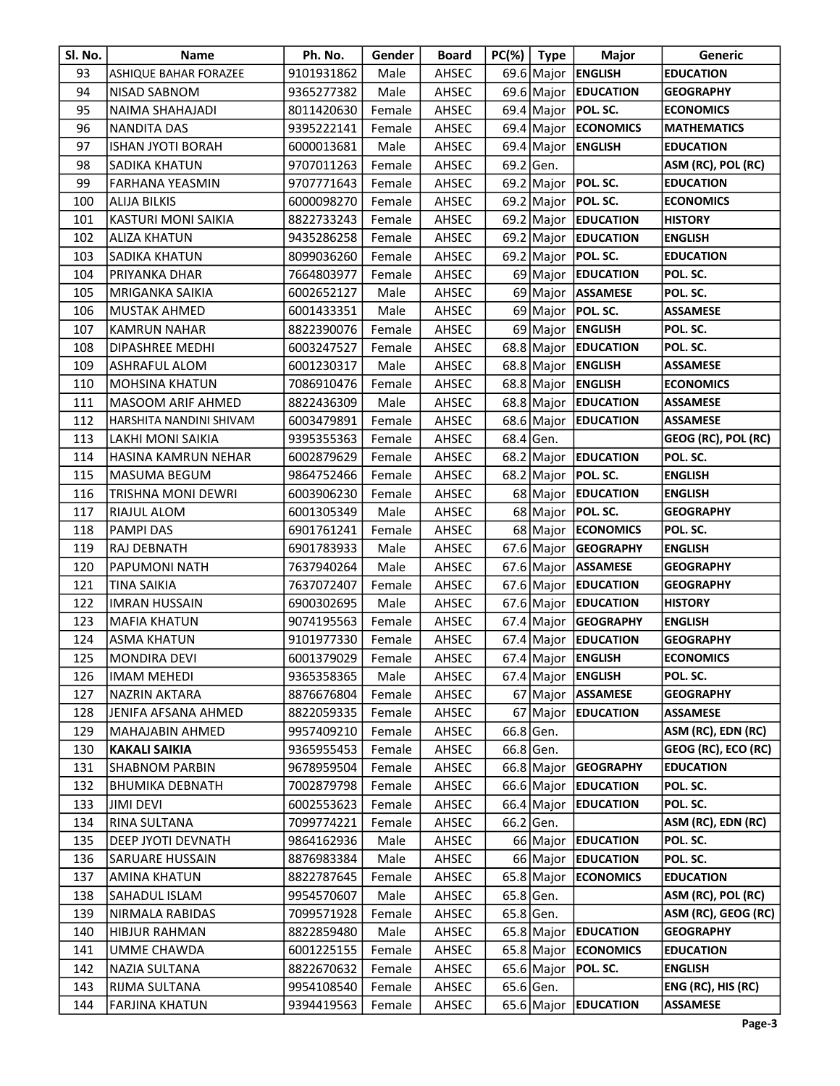| SI. No. | <b>Name</b>                  | Ph. No.             | Gender | <b>Board</b> | $PC(% )$ Type | <b>Major</b>           | Generic             |
|---------|------------------------------|---------------------|--------|--------------|---------------|------------------------|---------------------|
| 93      | <b>ASHIQUE BAHAR FORAZEE</b> | 9101931862          | Male   | AHSEC        |               | 69.6 Major ENGLISH     | <b>EDUCATION</b>    |
| 94      | NISAD SABNOM                 | 9365277382          | Male   | AHSEC        |               | 69.6 Major EDUCATION   | <b>GEOGRAPHY</b>    |
| 95      | NAIMA SHAHAJADI              | 8011420630          | Female | AHSEC        |               | 69.4 Major   POL. SC.  | <b>ECONOMICS</b>    |
| 96      | NANDITA DAS                  | 9395222141          | Female | AHSEC        |               | 69.4 Major ECONOMICS   | <b>MATHEMATICS</b>  |
| 97      | <b>ISHAN JYOTI BORAH</b>     | 6000013681          | Male   | AHSEC        |               | 69.4 Major ENGLISH     | <b>EDUCATION</b>    |
| 98      | SADIKA KHATUN                | 9707011263          | Female | AHSEC        | 69.2 Gen.     |                        | ASM (RC), POL (RC)  |
| 99      | FARHANA YEASMIN              | 9707771643          | Female | AHSEC        |               | 69.2 Major   POL. SC.  | <b>EDUCATION</b>    |
| 100     | <b>ALIJA BILKIS</b>          | 6000098270          | Female | AHSEC        |               | 69.2 Major   POL. SC.  | <b>ECONOMICS</b>    |
| 101     | KASTURI MONI SAIKIA          | 8822733243          | Female | AHSEC        |               | 69.2 Major EDUCATION   | <b>HISTORY</b>      |
| 102     | <b>ALIZA KHATUN</b>          | 9435286258          | Female | AHSEC        |               | 69.2 Major EDUCATION   | <b>ENGLISH</b>      |
| 103     | <b>SADIKA KHATUN</b>         | 8099036260          | Female | AHSEC        |               | 69.2 Major   POL. SC.  | <b>EDUCATION</b>    |
| 104     | PRIYANKA DHAR                | 7664803977          | Female | AHSEC        |               | 69 Major EDUCATION     | POL. SC.            |
| 105     | MRIGANKA SAIKIA              | 6002652127          | Male   | AHSEC        |               | 69 Major ASSAMESE      | POL. SC.            |
| 106     | MUSTAK AHMED                 | 6001433351          | Male   | AHSEC        |               | 69 Major   POL. SC.    | <b>ASSAMESE</b>     |
| 107     | <b>KAMRUN NAHAR</b>          | 8822390076          | Female | AHSEC        |               | 69 Major ENGLISH       | POL. SC.            |
| 108     | DIPASHREE MEDHI              | 6003247527          | Female | AHSEC        |               | 68.8 Major EDUCATION   | POL. SC.            |
| 109     | ASHRAFUL ALOM                | 6001230317          | Male   | AHSEC        |               | 68.8 Major ENGLISH     | <b>ASSAMESE</b>     |
| 110     | <b>MOHSINA KHATUN</b>        | 7086910476          | Female | AHSEC        |               | 68.8 Major   ENGLISH   | <b>ECONOMICS</b>    |
| 111     | MASOOM ARIF AHMED            | 8822436309          | Male   | AHSEC        |               | 68.8 Major EDUCATION   | <b>ASSAMESE</b>     |
| 112     | HARSHITA NANDINI SHIVAM      | 6003479891          | Female | AHSEC        |               | 68.6 Major EDUCATION   | <b>ASSAMESE</b>     |
| 113     | LAKHI MONI SAIKIA            | 9395355363          | Female | AHSEC        | $68.4$ Gen.   |                        | GEOG (RC), POL (RC) |
| 114     | HASINA KAMRUN NEHAR          | 6002879629          | Female | AHSEC        |               | 68.2 Major EDUCATION   | POL. SC.            |
| 115     | MASUMA BEGUM                 | 9864752466          | Female | AHSEC        |               | 68.2 Major   POL. SC.  | <b>ENGLISH</b>      |
| 116     | TRISHNA MONI DEWRI           | 6003906230          | Female | AHSEC        |               | 68 Major EDUCATION     | <b>ENGLISH</b>      |
| 117     | RIAJUL ALOM                  | 6001305349          | Male   | AHSEC        |               | 68 Major   POL. SC.    | <b>GEOGRAPHY</b>    |
| 118     | <b>PAMPI DAS</b>             | 6901761241          | Female | AHSEC        |               | 68 Major ECONOMICS     | POL. SC.            |
| 119     | RAJ DEBNATH                  | 6901783933          | Male   | AHSEC        |               | 67.6 Major GEOGRAPHY   | <b>ENGLISH</b>      |
| 120     | PAPUMONI NATH                | 7637940264          | Male   | AHSEC        |               | 67.6 Major ASSAMESE    | <b>GEOGRAPHY</b>    |
| 121     | <b>TINA SAIKIA</b>           | 7637072407          | Female | AHSEC        |               | 67.6 Major EDUCATION   | <b>GEOGRAPHY</b>    |
| 122     | <b>IMRAN HUSSAIN</b>         | 6900302695          | Male   | AHSEC        |               | 67.6 Major EDUCATION   | <b>HISTORY</b>      |
| 123     | <b>MAFIA KHATUN</b>          | 9074195563          | Female | AHSEC        |               | 67.4 Major GEOGRAPHY   | <b>ENGLISH</b>      |
| 124     | <b>ASMA KHATUN</b>           | 9101977330          | Female | AHSEC        |               | 67.4 Major EDUCATION   | <b>GEOGRAPHY</b>    |
| 125     | MONDIRA DEVI                 | 6001379029   Female |        | AHSEC        |               | 67.4 Major ENGLISH     | <b>ECONOMICS</b>    |
| 126     | IMAM MEHEDI                  | 9365358365          | Male   | AHSEC        |               | 67.4   Major   ENGLISH | POL. SC.            |
| 127     | NAZRIN AKTARA                | 8876676804          | Female | AHSEC        |               | 67 Major ASSAMESE      | <b>GEOGRAPHY</b>    |
| 128     | JENIFA AFSANA AHMED          | 8822059335          | Female | AHSEC        |               | 67 Major EDUCATION     | <b>ASSAMESE</b>     |
| 129     | MAHAJABIN AHMED              | 9957409210          | Female | AHSEC        | 66.8 Gen.     |                        | ASM (RC), EDN (RC)  |
| 130     | <b>KAKALI SAIKIA</b>         | 9365955453          | Female | AHSEC        | 66.8 Gen.     |                        | GEOG (RC), ECO (RC) |
| 131     | <b>SHABNOM PARBIN</b>        | 9678959504          | Female | AHSEC        |               | 66.8 Major GEOGRAPHY   | <b>EDUCATION</b>    |
| 132     | <b>BHUMIKA DEBNATH</b>       | 7002879798          | Female | AHSEC        |               | 66.6 Major EDUCATION   | POL. SC.            |
| 133     | <b>JIMI DEVI</b>             | 6002553623          | Female | AHSEC        |               | 66.4 Major EDUCATION   | POL. SC.            |
| 134     | RINA SULTANA                 | 7099774221          | Female | AHSEC        | $66.2$ Gen.   |                        | ASM (RC), EDN (RC)  |
| 135     | DEEP JYOTI DEVNATH           | 9864162936          | Male   | AHSEC        |               | 66 Major EDUCATION     | POL. SC.            |
| 136     | SARUARE HUSSAIN              | 8876983384          | Male   | AHSEC        |               | 66 Major EDUCATION     | POL. SC.            |
| 137     | AMINA KHATUN                 | 8822787645          | Female | AHSEC        |               | 65.8 Major ECONOMICS   | <b>EDUCATION</b>    |
| 138     | SAHADUL ISLAM                | 9954570607          | Male   | AHSEC        | $65.8$ Gen.   |                        | ASM (RC), POL (RC)  |
| 139     | NIRMALA RABIDAS              | 7099571928          | Female |              | $65.8$ Gen.   |                        | ASM (RC), GEOG (RC) |
|         |                              |                     |        | AHSEC        |               |                        |                     |
| 140     | <b>HIBJUR RAHMAN</b>         | 8822859480          | Male   | AHSEC        |               | 65.8 Major EDUCATION   | <b>GEOGRAPHY</b>    |
| 141     | UMME CHAWDA                  | 6001225155          | Female | AHSEC        |               | 65.8 Major ECONOMICS   | <b>EDUCATION</b>    |
| 142     | NAZIA SULTANA                | 8822670632          | Female | AHSEC        |               | 65.6 Major   POL. SC.  | <b>ENGLISH</b>      |
| 143     | RIJMA SULTANA                | 9954108540          | Female | AHSEC        | $65.6$ Gen.   |                        | ENG (RC), HIS (RC)  |
| 144     | <b>FARJINA KHATUN</b>        | 9394419563          | Female | AHSEC        |               | 65.6 Major EDUCATION   | <b>ASSAMESE</b>     |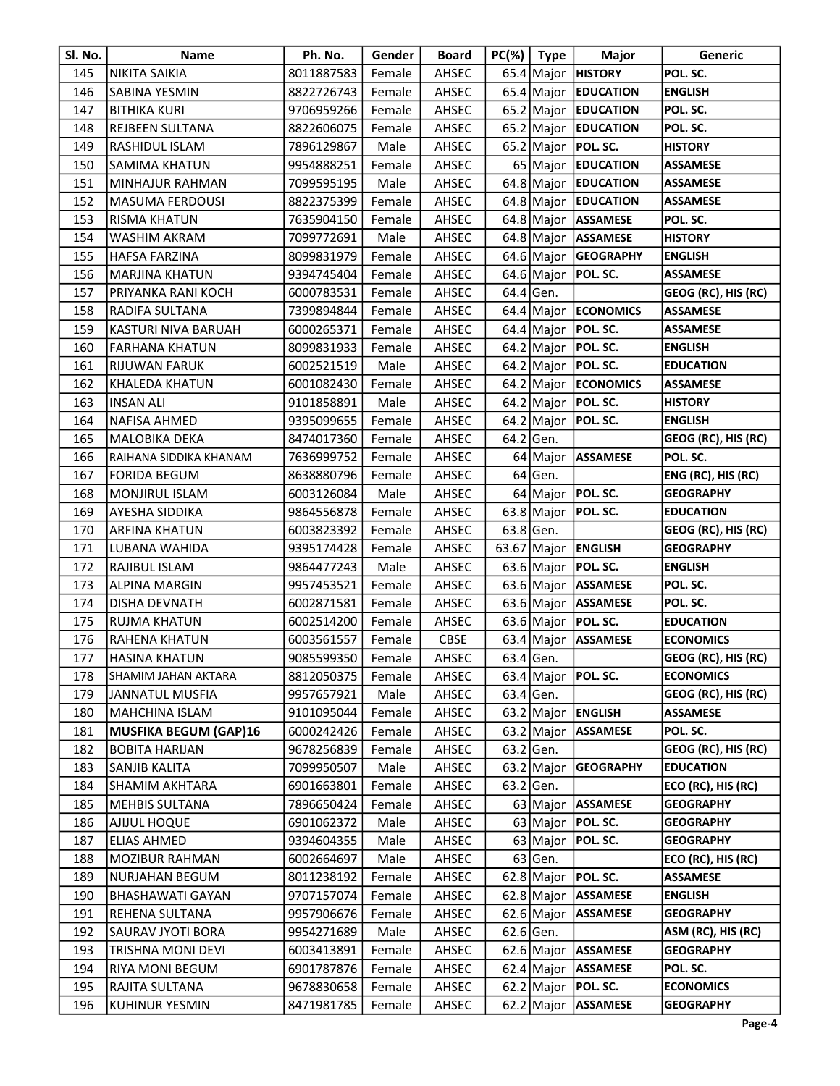| Sl. No. | <b>Name</b>                  | Ph. No.             | Gender | <b>Board</b> | $PC(% )$ Type | <b>Major</b>             | Generic             |
|---------|------------------------------|---------------------|--------|--------------|---------------|--------------------------|---------------------|
| 145     | <b>NIKITA SAIKIA</b>         | 8011887583          | Female | AHSEC        |               | 65.4 Major HISTORY       | POL. SC.            |
| 146     | SABINA YESMIN                | 8822726743          | Female | AHSEC        |               | 65.4 Major EDUCATION     | <b>ENGLISH</b>      |
| 147     | <b>BITHIKA KURI</b>          | 9706959266          | Female | AHSEC        |               | 65.2 Major EDUCATION     | POL. SC.            |
| 148     | REJBEEN SULTANA              | 8822606075          | Female | AHSEC        | 65.2 Major    | <b>EDUCATION</b>         | POL. SC.            |
| 149     | RASHIDUL ISLAM               | 7896129867          | Male   | AHSEC        | $65.2$ Major  | <b>POL. SC.</b>          | <b>HISTORY</b>      |
| 150     | <b>SAMIMA KHATUN</b>         | 9954888251          | Female | AHSEC        |               | 65 Major EDUCATION       | <b>ASSAMESE</b>     |
| 151     | MINHAJUR RAHMAN              | 7099595195          | Male   | AHSEC        |               | 64.8 Major EDUCATION     | <b>ASSAMESE</b>     |
| 152     | <b>MASUMA FERDOUSI</b>       | 8822375399          | Female | AHSEC        |               | 64.8 Major EDUCATION     | <b>ASSAMESE</b>     |
| 153     | RISMA KHATUN                 | 7635904150          | Female | AHSEC        |               | 64.8 Major ASSAMESE      | POL. SC.            |
| 154     | WASHIM AKRAM                 | 7099772691          | Male   | AHSEC        |               | 64.8 Major ASSAMESE      | <b>HISTORY</b>      |
| 155     | <b>HAFSA FARZINA</b>         | 8099831979          | Female | AHSEC        |               | 64.6 Major GEOGRAPHY     | <b>ENGLISH</b>      |
| 156     | <b>MARJINA KHATUN</b>        | 9394745404          | Female | AHSEC        |               | 64.6 Major   POL. SC.    | <b>ASSAMESE</b>     |
| 157     | PRIYANKA RANI KOCH           | 6000783531          | Female | AHSEC        | 64.4 Gen.     |                          | GEOG (RC), HIS (RC) |
| 158     | RADIFA SULTANA               | 7399894844          | Female | AHSEC        |               | 64.4   Major   ECONOMICS | <b>ASSAMESE</b>     |
| 159     | KASTURI NIVA BARUAH          | 6000265371          | Female | AHSEC        |               | 64.4 Major   POL. SC.    | <b>ASSAMESE</b>     |
| 160     | <b>FARHANA KHATUN</b>        | 8099831933          | Female | AHSEC        |               | 64.2 Major   POL. SC.    | <b>ENGLISH</b>      |
| 161     | RIJUWAN FARUK                | 6002521519          | Male   | AHSEC        |               | 64.2 Major   POL. SC.    | <b>EDUCATION</b>    |
| 162     | KHALEDA KHATUN               | 6001082430          | Female | AHSEC        |               | 64.2 Major ECONOMICS     | <b>ASSAMESE</b>     |
| 163     | <b>INSAN ALI</b>             | 9101858891          | Male   | AHSEC        |               | 64.2 Major   POL. SC.    | <b>HISTORY</b>      |
| 164     | NAFISA AHMED                 | 9395099655          | Female | AHSEC        |               | 64.2 Major $ POL$ SC.    | <b>ENGLISH</b>      |
| 165     | MALOBIKA DEKA                | 8474017360          | Female | AHSEC        | $64.2$ Gen.   |                          | GEOG (RC), HIS (RC) |
| 166     | RAIHANA SIDDIKA KHANAM       | 7636999752          | Female | AHSEC        |               | 64 Major ASSAMESE        | POL. SC.            |
| 167     | FORIDA BEGUM                 | 8638880796          | Female | AHSEC        | $64$ Gen.     |                          | ENG (RC), HIS (RC)  |
| 168     | MONJIRUL ISLAM               | 6003126084          | Male   | AHSEC        |               | 64 Major   POL. SC.      | <b>GEOGRAPHY</b>    |
| 169     | AYESHA SIDDIKA               | 9864556878          | Female | AHSEC        |               | 63.8 Major   POL. SC.    | <b>EDUCATION</b>    |
| 170     | ARFINA KHATUN                | 6003823392          | Female | AHSEC        | $63.8$ Gen.   |                          | GEOG (RC), HIS (RC) |
| 171     | LUBANA WAHIDA                | 9395174428          | Female | AHSEC        |               | 63.67 Major   ENGLISH    | <b>GEOGRAPHY</b>    |
| 172     | RAJIBUL ISLAM                | 9864477243          | Male   | AHSEC        |               | 63.6 Major   POL. SC.    | <b>ENGLISH</b>      |
| 173     | <b>ALPINA MARGIN</b>         | 9957453521          | Female | AHSEC        |               | 63.6 Major ASSAMESE      | POL. SC.            |
| 174     | DISHA DEVNATH                | 6002871581          | Female | AHSEC        |               | 63.6 Major   ASSAMESE    | POL. SC.            |
| 175     | RUJMA KHATUN                 | 6002514200          | Female | AHSEC        |               | 63.6 Major   POL. SC.    | <b>EDUCATION</b>    |
| 176     | RAHENA KHATUN                | 6003561557          | Female | <b>CBSE</b>  | 63.4 Major    | <b>ASSAMESE</b>          | <b>ECONOMICS</b>    |
| 177     | <b>HASINA KHATUN</b>         | 9085599350   Female |        | AHSEC        | 63.4 Gen.     |                          | GEOG (RC), HIS (RC) |
| 178     | SHAMIM JAHAN AKTARA          | 8812050375          | Female | AHSEC        |               | 63.4 Major $ POL.$ SC.   | <b>ECONOMICS</b>    |
| 179     | <b>JANNATUL MUSFIA</b>       | 9957657921          | Male   | AHSEC        | $63.4$ Gen.   |                          | GEOG (RC), HIS (RC) |
| 180     | <b>MAHCHINA ISLAM</b>        | 9101095044          | Female | AHSEC        | 63.2 Major    | <b>ENGLISH</b>           | <b>ASSAMESE</b>     |
| 181     | <b>MUSFIKA BEGUM (GAP)16</b> | 6000242426          | Female | AHSEC        |               | 63.2 Major ASSAMESE      | POL. SC.            |
| 182     | <b>BOBITA HARIJAN</b>        | 9678256839          | Female | AHSEC        | 63.2 Gen.     |                          | GEOG (RC), HIS (RC) |
| 183     | SANJIB KALITA                | 7099950507          | Male   | AHSEC        | $63.2$ Major  | <b>GEOGRAPHY</b>         | <b>EDUCATION</b>    |
| 184     | SHAMIM AKHTARA               | 6901663801          | Female | AHSEC        | $63.2$ Gen.   |                          | ECO (RC), HIS (RC)  |
| 185     | <b>MEHBIS SULTANA</b>        | 7896650424          | Female | AHSEC        |               | 63 Major   ASSAMESE      | <b>GEOGRAPHY</b>    |
| 186     | AJIJUL HOQUE                 | 6901062372          | Male   | AHSEC        |               | 63 Major $ POL.$ SC.     | <b>GEOGRAPHY</b>    |
| 187     | <b>ELIAS AHMED</b>           | 9394604355          | Male   | AHSEC        |               | 63 Major   POL. SC.      | <b>GEOGRAPHY</b>    |
| 188     | MOZIBUR RAHMAN               | 6002664697          | Male   | AHSEC        | $63$ Gen.     |                          | ECO (RC), HIS (RC)  |
| 189     | NURJAHAN BEGUM               | 8011238192          | Female | AHSEC        |               | 62.8 Major $ POL$ SC.    | <b>ASSAMESE</b>     |
| 190     | <b>BHASHAWATI GAYAN</b>      | 9707157074          | Female | AHSEC        |               | 62.8 Major   ASSAMESE    | <b>ENGLISH</b>      |
| 191     | REHENA SULTANA               | 9957906676          | Female | AHSEC        |               | 62.6 Major ASSAMESE      | <b>GEOGRAPHY</b>    |
| 192     | SAURAV JYOTI BORA            | 9954271689          | Male   | AHSEC        | $62.6$ Gen.   |                          | ASM (RC), HIS (RC)  |
| 193     | TRISHNA MONI DEVI            | 6003413891          | Female | AHSEC        |               | 62.6 Major ASSAMESE      | <b>GEOGRAPHY</b>    |
| 194     | RIYA MONI BEGUM              | 6901787876          | Female | AHSEC        |               | 62.4 Major ASSAMESE      | POL. SC.            |
|         |                              |                     |        |              |               | 62.2 Major $ POL$ SC.    | <b>ECONOMICS</b>    |
| 195     | RAJITA SULTANA               | 9678830658          | Female | AHSEC        |               |                          |                     |
| 196     | KUHINUR YESMIN               | 8471981785          | Female | AHSEC        |               | 62.2 Major ASSAMESE      | <b>GEOGRAPHY</b>    |